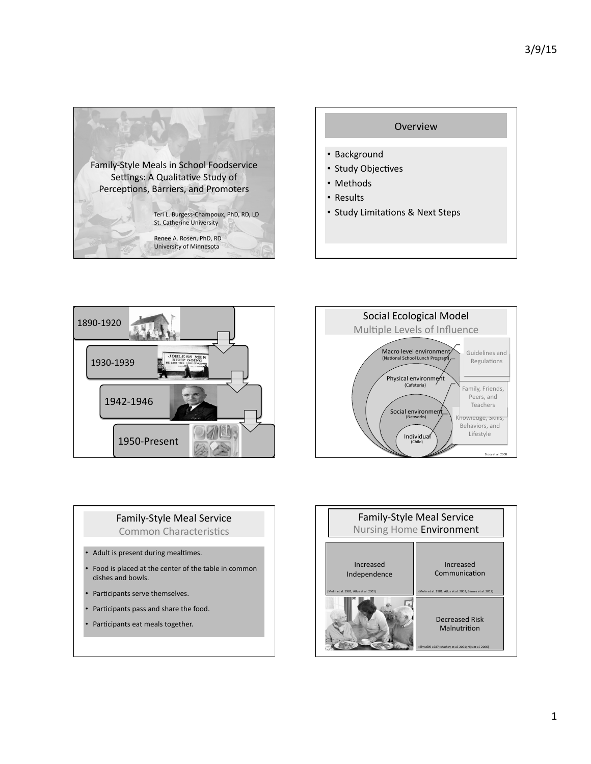



- Methods
- Results
- Study Limitations & Next Steps





## Family-Style Meal Service Common Characteristics

- $\cdot$  Adult is present during mealtimes.
- Food is placed at the center of the table in common dishes and bowls.
- Participants serve themselves.
- Participants pass and share the food.
- Participants eat meals together.

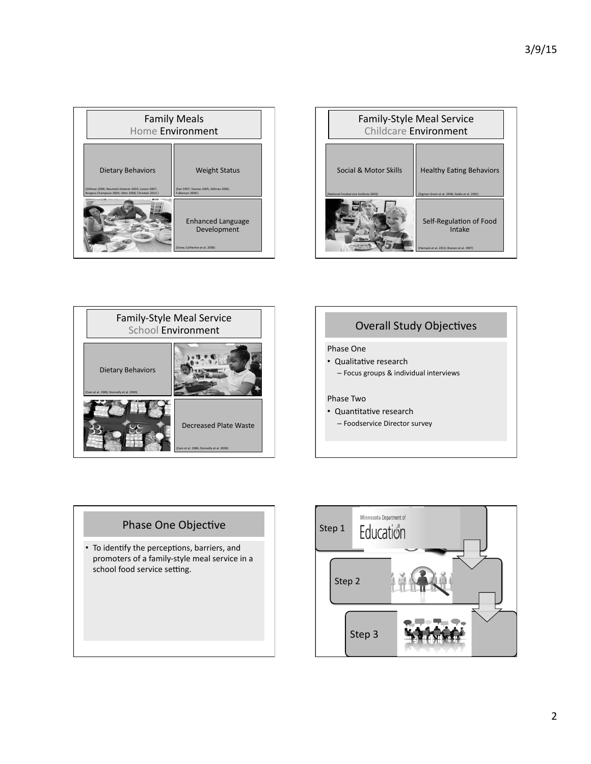| <b>Family Meals</b><br>Home Environment                                                                                               |                                                                                    |
|---------------------------------------------------------------------------------------------------------------------------------------|------------------------------------------------------------------------------------|
| <b>Dietary Behaviors</b><br>(Gillman 2000: Neumark-Sztainer 2003: Larsen 2007.<br>Burgess-Champoux 2009, Utter 2008, Christian 2013 ) | <b>Weight Status</b><br>(Sen 1997: Tayeras 2005: Gillman 2000:<br>Fulkerson 2008 ) |
|                                                                                                                                       | <b>Enhanced Language</b><br>Development<br>(Snow, Catherine et al. 2006)           |

| <b>Family-Style Meal Service</b><br>Childcare Environment     |                                                                                  |
|---------------------------------------------------------------|----------------------------------------------------------------------------------|
| Social & Motor Skills<br>National Foodservice Institute 2003) | <b>Healthy Eating Behaviors</b><br>(Sigman Grant et al. 2008: Gable et al. 2001) |
|                                                               | Self-Regulation of Food<br>Intake<br>Harnack et al. 2012: Branen et al. 1997)    |





## Phase One

- Qualitative research
	- Focus groups & individual interviews

## Phase Two

- Quantitative research
- Foodservice Director survey

## Phase One Objective

• To identify the perceptions, barriers, and promoters of a family-style meal service in a school food service setting.

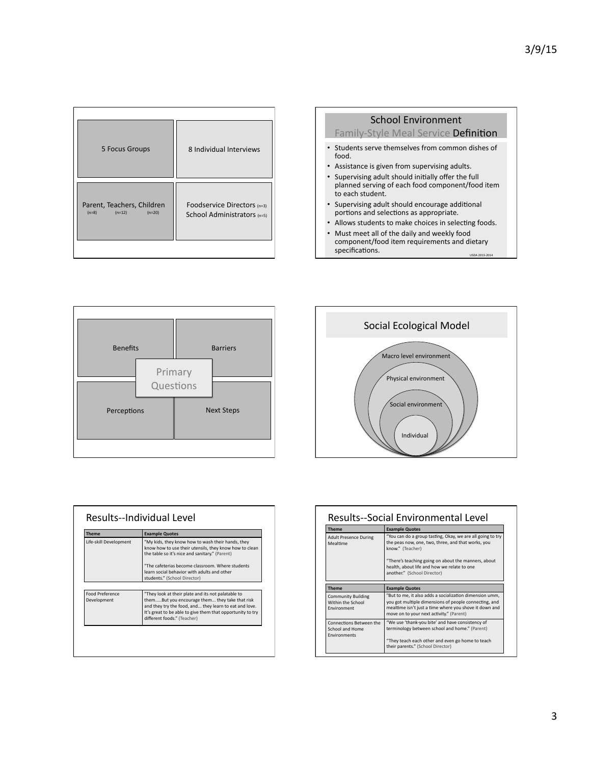| 5 Focus Groups                                                | 8 Individual Interviews                                    |
|---------------------------------------------------------------|------------------------------------------------------------|
| Parent, Teachers, Children<br>$(n=12)$<br>$(n=8)$<br>$(n=20)$ | Foodservice Directors (n=3)<br>School Administrators (n=5) |







| <b>Theme</b>                          | <b>Example Quotes</b>                                                                                                                                                                                                                                       |
|---------------------------------------|-------------------------------------------------------------------------------------------------------------------------------------------------------------------------------------------------------------------------------------------------------------|
| Life-skill Development                | "My kids, they know how to wash their hands, they<br>know how to use their utensils, they know how to clean<br>the table so it's nice and sanitary." (Parent)<br>"The cafeterias become classroom. Where students                                           |
|                                       | learn social behavior with adults and other<br>students." (School Director)                                                                                                                                                                                 |
|                                       |                                                                                                                                                                                                                                                             |
| <b>Food Preference</b><br>Development | "They look at their plate and its not palatable to<br>themBut you encourage them they take that risk<br>and they try the food, and they learn to eat and love.<br>It's great to be able to give them that opportunity to try<br>different foods." (Teacher) |